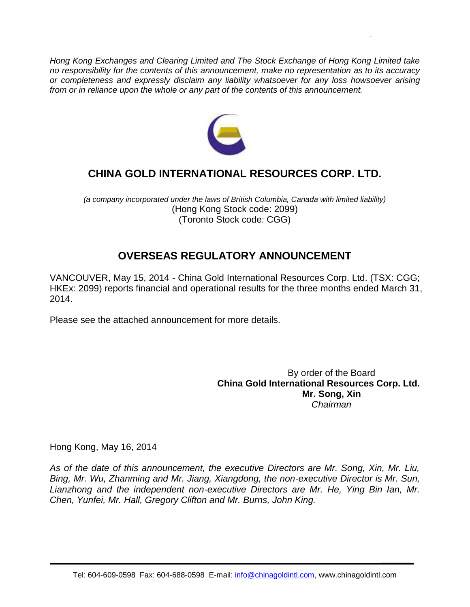*Hong Kong Exchanges and Clearing Limited and The Stock Exchange of Hong Kong Limited take no responsibility for the contents of this announcement, make no representation as to its accuracy or completeness and expressly disclaim any liability whatsoever for any loss howsoever arising from or in reliance upon the whole or any part of the contents of this announcement.*



# **CHINA GOLD INTERNATIONAL RESOURCES CORP. LTD.**

*(a company incorporated under the laws of British Columbia, Canada with limited liability)* (Hong Kong Stock code: 2099) (Toronto Stock code: CGG)

# **OVERSEAS REGULATORY ANNOUNCEMENT**

VANCOUVER, May 15, 2014 - China Gold International Resources Corp. Ltd. (TSX: CGG; HKEx: 2099) reports financial and operational results for the three months ended March 31, 2014.

Please see the attached announcement for more details.

By order of the Board **China Gold International Resources Corp. Ltd. Mr. Song, Xin** *Chairman*

**\_\_\_\_\_\_**

Hong Kong, May 16, 2014

*As of the date of this announcement, the executive Directors are Mr. Song, Xin, Mr. Liu, Bing, Mr. Wu, Zhanming and Mr. Jiang, Xiangdong, the non-executive Director is Mr. Sun, Lianzhong and the independent non-executive Directors are Mr. He, Ying Bin Ian, Mr. Chen, Yunfei, Mr. Hall, Gregory Clifton and Mr. Burns, John King.*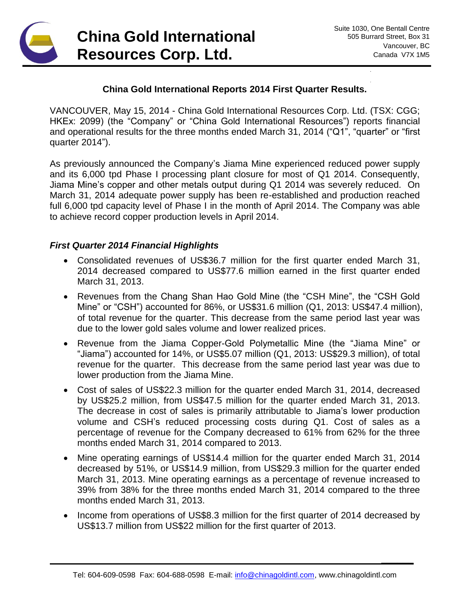

**\_\_\_\_\_\_**

#### **China Gold International Reports 2014 First Quarter Results.**

VANCOUVER, May 15, 2014 - China Gold International Resources Corp. Ltd. (TSX: CGG; HKEx: 2099) (the "Company" or "China Gold International Resources") reports financial and operational results for the three months ended March 31, 2014 ("Q1", "quarter" or "first quarter 2014").

As previously announced the Company's Jiama Mine experienced reduced power supply and its 6,000 tpd Phase I processing plant closure for most of Q1 2014. Consequently, Jiama Mine's copper and other metals output during Q1 2014 was severely reduced. On March 31, 2014 adequate power supply has been re-established and production reached full 6,000 tpd capacity level of Phase I in the month of April 2014. The Company was able to achieve record copper production levels in April 2014.

#### *First Quarter 2014 Financial Highlights*

- Consolidated revenues of US\$36.7 million for the first quarter ended March 31, 2014 decreased compared to US\$77.6 million earned in the first quarter ended March 31, 2013.
- Revenues from the Chang Shan Hao Gold Mine (the "CSH Mine", the "CSH Gold Mine" or "CSH") accounted for 86%, or US\$31.6 million (Q1, 2013: US\$47.4 million), of total revenue for the quarter. This decrease from the same period last year was due to the lower gold sales volume and lower realized prices.
- Revenue from the Jiama Copper-Gold Polymetallic Mine (the "Jiama Mine" or "Jiama") accounted for 14%, or US\$5.07 million (Q1, 2013: US\$29.3 million), of total revenue for the quarter. This decrease from the same period last year was due to lower production from the Jiama Mine.
- Cost of sales of US\$22.3 million for the quarter ended March 31, 2014, decreased by US\$25.2 million, from US\$47.5 million for the quarter ended March 31, 2013. The decrease in cost of sales is primarily attributable to Jiama's lower production volume and CSH's reduced processing costs during Q1. Cost of sales as a percentage of revenue for the Company decreased to 61% from 62% for the three months ended March 31, 2014 compared to 2013.
- Mine operating earnings of US\$14.4 million for the quarter ended March 31, 2014 decreased by 51%, or US\$14.9 million, from US\$29.3 million for the quarter ended March 31, 2013. Mine operating earnings as a percentage of revenue increased to 39% from 38% for the three months ended March 31, 2014 compared to the three months ended March 31, 2013.
- Income from operations of US\$8.3 million for the first quarter of 2014 decreased by US\$13.7 million from US\$22 million for the first quarter of 2013.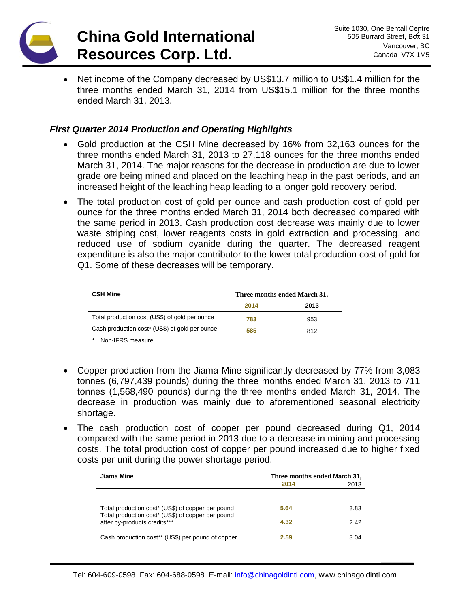

**\_\_\_\_\_\_**

• Net income of the Company decreased by US\$13.7 million to US\$1.4 million for the three months ended March 31, 2014 from US\$15.1 million for the three months ended March 31, 2013.

#### *First Quarter 2014 Production and Operating Highlights*

- Gold production at the CSH Mine decreased by 16% from 32,163 ounces for the three months ended March 31, 2013 to 27,118 ounces for the three months ended March 31, 2014. The major reasons for the decrease in production are due to lower grade ore being mined and placed on the leaching heap in the past periods, and an increased height of the leaching heap leading to a longer gold recovery period.
- The total production cost of gold per ounce and cash production cost of gold per ounce for the three months ended March 31, 2014 both decreased compared with the same period in 2013. Cash production cost decrease was mainly due to lower waste striping cost, lower reagents costs in gold extraction and processing, and reduced use of sodium cyanide during the quarter. The decreased reagent expenditure is also the major contributor to the lower total production cost of gold for Q1. Some of these decreases will be temporary.

| <b>CSH Mine</b>                                | Three months ended March 31, |      |
|------------------------------------------------|------------------------------|------|
|                                                | 2014                         | 2013 |
| Total production cost (US\$) of gold per ounce | 783                          | 953  |
| Cash production cost* (US\$) of gold per ounce | 585                          | 812  |

*\** Non-IFRS measure

- Copper production from the Jiama Mine significantly decreased by 77% from 3,083 tonnes (6,797,439 pounds) during the three months ended March 31, 2013 to 711 tonnes (1,568,490 pounds) during the three months ended March 31, 2014. The decrease in production was mainly due to aforementioned seasonal electricity shortage.
- The cash production cost of copper per pound decreased during Q1, 2014 compared with the same period in 2013 due to a decrease in mining and processing costs. The total production cost of copper per pound increased due to higher fixed costs per unit during the power shortage period.

| Jiama Mine                                                                                             | Three months ended March 31,<br>2014<br>2013 |      |
|--------------------------------------------------------------------------------------------------------|----------------------------------------------|------|
|                                                                                                        |                                              |      |
| Total production cost* (US\$) of copper per pound<br>Total production cost* (US\$) of copper per pound | 5.64                                         | 3.83 |
| after by-products credits***                                                                           | 4.32                                         | 2.42 |
| Cash production cost** (US\$) per pound of copper                                                      | 2.59                                         | 3.04 |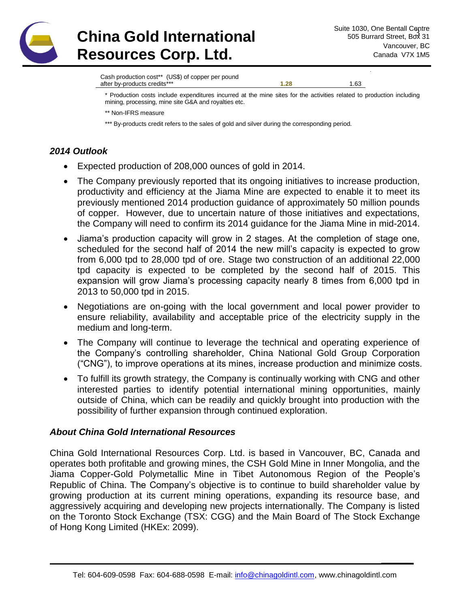

# **China Gold International Resources Corp. Ltd.**

**\_\_\_\_\_\_**

Cash production cost\*\* (US\$) of copper per pound after by-products credits<sup>\*\*\*</sup><br>1.63

\* Production costs include expenditures incurred at the mine sites for the activities related to production including mining, processing, mine site G&A and royalties etc.

\*\* Non-IFRS measure

\*\*\* By-products credit refers to the sales of gold and silver during the corresponding period.

## *2014 Outlook*

- Expected production of 208,000 ounces of gold in 2014.
- The Company previously reported that its ongoing initiatives to increase production, productivity and efficiency at the Jiama Mine are expected to enable it to meet its previously mentioned 2014 production guidance of approximately 50 million pounds of copper. However, due to uncertain nature of those initiatives and expectations, the Company will need to confirm its 2014 guidance for the Jiama Mine in mid-2014.
- Jiama's production capacity will grow in 2 stages. At the completion of stage one, scheduled for the second half of 2014 the new mill's capacity is expected to grow from 6,000 tpd to 28,000 tpd of ore. Stage two construction of an additional 22,000 tpd capacity is expected to be completed by the second half of 2015. This expansion will grow Jiama's processing capacity nearly 8 times from 6,000 tpd in 2013 to 50,000 tpd in 2015.
- Negotiations are on-going with the local government and local power provider to ensure reliability, availability and acceptable price of the electricity supply in the medium and long-term.
- The Company will continue to leverage the technical and operating experience of the Company's controlling shareholder, China National Gold Group Corporation ("CNG"), to improve operations at its mines, increase production and minimize costs.
- To fulfill its growth strategy, the Company is continually working with CNG and other interested parties to identify potential international mining opportunities, mainly outside of China, which can be readily and quickly brought into production with the possibility of further expansion through continued exploration.

### *About China Gold International Resources*

China Gold International Resources Corp. Ltd. is based in Vancouver, BC, Canada and operates both profitable and growing mines, the CSH Gold Mine in Inner Mongolia, and the Jiama Copper-Gold Polymetallic Mine in Tibet Autonomous Region of the People's Republic of China. The Company's objective is to continue to build shareholder value by growing production at its current mining operations, expanding its resource base, and aggressively acquiring and developing new projects internationally. The Company is listed on the Toronto Stock Exchange (TSX: CGG) and the Main Board of The Stock Exchange of Hong Kong Limited (HKEx: 2099).